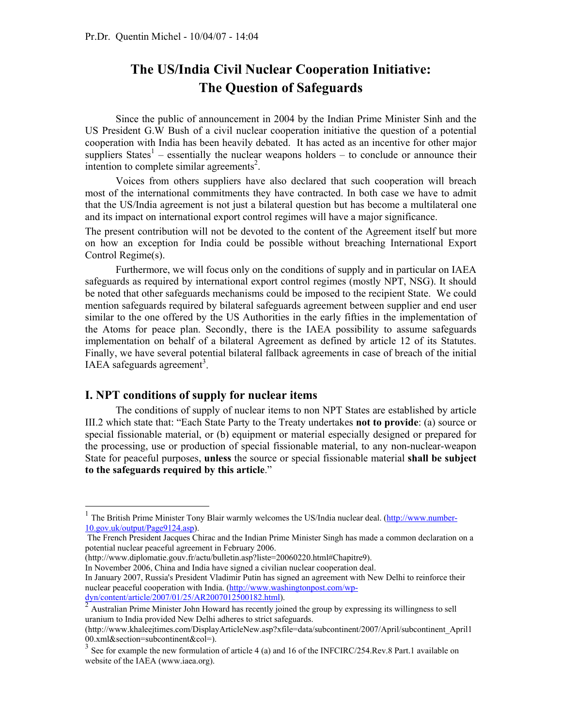## **The US/India Civil Nuclear Cooperation Initiative: The Question of Safeguards**

Since the public of announcement in 2004 by the Indian Prime Minister Sinh and the US President G.W Bush of a civil nuclear cooperation initiative the question of a potential cooperation with India has been heavily debated. It has acted as an incentive for other major suppliers States<sup>1</sup> – essentially the nuclear weapons holders – to conclude or announce their intention to complete similar agreements<sup>2</sup>.

Voices from others suppliers have also declared that such cooperation will breach most of the international commitments they have contracted. In both case we have to admit that the US/India agreement is not just a bilateral question but has become a multilateral one and its impact on international export control regimes will have a major significance.

The present contribution will not be devoted to the content of the Agreement itself but more on how an exception for India could be possible without breaching International Export Control Regime(s).

Furthermore, we will focus only on the conditions of supply and in particular on IAEA safeguards as required by international export control regimes (mostly NPT, NSG). It should be noted that other safeguards mechanisms could be imposed to the recipient State. We could mention safeguards required by bilateral safeguards agreement between supplier and end user similar to the one offered by the US Authorities in the early fifties in the implementation of the Atoms for peace plan. Secondly, there is the IAEA possibility to assume safeguards implementation on behalf of a bilateral Agreement as defined by article 12 of its Statutes. Finally, we have several potential bilateral fallback agreements in case of breach of the initial IAEA safeguards agreement<sup>3</sup>.

## **I. NPT conditions of supply for nuclear items**

l

The conditions of supply of nuclear items to non NPT States are established by article III.2 which state that: "Each State Party to the Treaty undertakes **not to provide**: (a) source or special fissionable material, or (b) equipment or material especially designed or prepared for the processing, use or production of special fissionable material, to any non-nuclear-weapon State for peaceful purposes, **unless** the source or special fissionable material **shall be subject to the safeguards required by this article**."

(http://www.diplomatie.gouv.fr/actu/bulletin.asp?liste=20060220.html#Chapitre9).

In November 2006, China and India have signed a civilian nuclear cooperation deal.

<sup>&</sup>lt;sup>1</sup> The British Prime Minister Tony Blair warmly welcomes the US/India nuclear deal. (http://www.number-10.gov.uk/output/Page9124.asp).

The French President Jacques Chirac and the Indian Prime Minister Singh has made a common declaration on a potential nuclear peaceful agreement in February 2006.

In January 2007, Russia's President Vladimir Putin has signed an agreement with New Delhi to reinforce their nuclear peaceful cooperation with India. (http://www.washingtonpost.com/wpdyn/content/article/2007/01/25/AR2007012500182.html).

<sup>2</sup> Australian Prime Minister John Howard has recently joined the group by expressing its willingness to sell uranium to India provided New Delhi adheres to strict safeguards.

<sup>(</sup>http://www.khaleejtimes.com/DisplayArticleNew.asp?xfile=data/subcontinent/2007/April/subcontinent\_April1 00.xml&section=subcontinent&col=).

 $3$  See for example the new formulation of article 4 (a) and 16 of the INFCIRC/254.Rev.8 Part.1 available on website of the IAEA (www.iaea.org).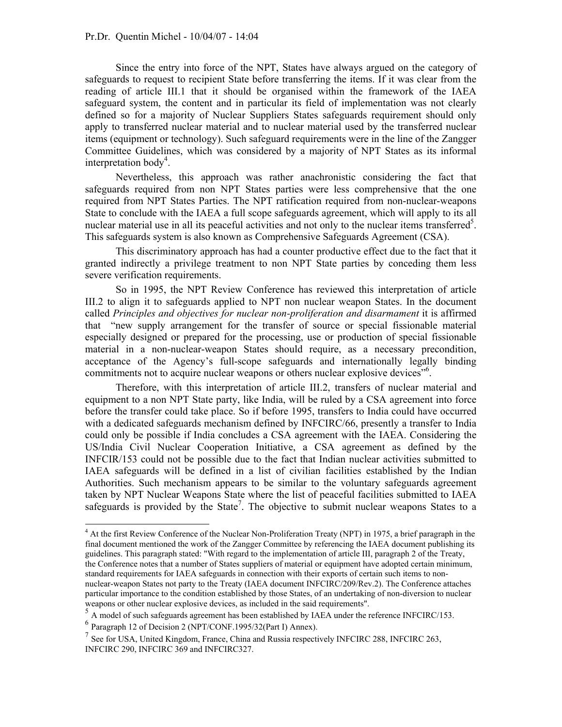Since the entry into force of the NPT, States have always argued on the category of safeguards to request to recipient State before transferring the items. If it was clear from the reading of article III.1 that it should be organised within the framework of the IAEA safeguard system, the content and in particular its field of implementation was not clearly defined so for a majority of Nuclear Suppliers States safeguards requirement should only apply to transferred nuclear material and to nuclear material used by the transferred nuclear items (equipment or technology). Such safeguard requirements were in the line of the Zangger Committee Guidelines, which was considered by a majority of NPT States as its informal interpretation body<sup>4</sup>.

Nevertheless, this approach was rather anachronistic considering the fact that safeguards required from non NPT States parties were less comprehensive that the one required from NPT States Parties. The NPT ratification required from non-nuclear-weapons State to conclude with the IAEA a full scope safeguards agreement, which will apply to its all nuclear material use in all its peaceful activities and not only to the nuclear items transferred<sup>5</sup>. This safeguards system is also known as Comprehensive Safeguards Agreement (CSA).

This discriminatory approach has had a counter productive effect due to the fact that it granted indirectly a privilege treatment to non NPT State parties by conceding them less severe verification requirements.

So in 1995, the NPT Review Conference has reviewed this interpretation of article III.2 to align it to safeguards applied to NPT non nuclear weapon States. In the document called *Principles and objectives for nuclear non-proliferation and disarmament* it is affirmed that "new supply arrangement for the transfer of source or special fissionable material especially designed or prepared for the processing, use or production of special fissionable material in a non-nuclear-weapon States should require, as a necessary precondition, acceptance of the Agency's full-scope safeguards and internationally legally binding commitments not to acquire nuclear weapons or others nuclear explosive devices"<sup>6</sup>.

Therefore, with this interpretation of article III.2, transfers of nuclear material and equipment to a non NPT State party, like India, will be ruled by a CSA agreement into force before the transfer could take place. So if before 1995, transfers to India could have occurred with a dedicated safeguards mechanism defined by INFCIRC/66, presently a transfer to India could only be possible if India concludes a CSA agreement with the IAEA. Considering the US/India Civil Nuclear Cooperation Initiative, a CSA agreement as defined by the INFCIR/153 could not be possible due to the fact that Indian nuclear activities submitted to IAEA safeguards will be defined in a list of civilian facilities established by the Indian Authorities. Such mechanism appears to be similar to the voluntary safeguards agreement taken by NPT Nuclear Weapons State where the list of peaceful facilities submitted to IAEA safeguards is provided by the State<sup>7</sup>. The objective to submit nuclear weapons States to a

particular importance to the condition established by those States, of an undertaking of non-diversion to nuclear weapons or other nuclear explosive devices, as included in the said requirements".

 $<sup>5</sup>$  A model of such safeguards agreement has been established by IAEA under the reference INFCIRC/153.</sup>

l

<sup>&</sup>lt;sup>4</sup> At the first Review Conference of the Nuclear Non-Proliferation Treaty (NPT) in 1975, a brief paragraph in the final document mentioned the work of the Zangger Committee by referencing the IAEA document publishing its guidelines. This paragraph stated: "With regard to the implementation of article III, paragraph 2 of the Treaty, the Conference notes that a number of States suppliers of material or equipment have adopted certain minimum, standard requirements for IAEA safeguards in connection with their exports of certain such items to nonnuclear-weapon States not party to the Treaty (IAEA document INFCIRC/209/Rev.2). The Conference attaches

 $6$  Paragraph 12 of Decision 2 (NPT/CONF.1995/32(Part I) Annex).

 $<sup>7</sup>$  See for USA, United Kingdom, France, China and Russia respectively INFCIRC 288, INFCIRC 263,</sup> INFCIRC 290, INFCIRC 369 and INFCIRC327.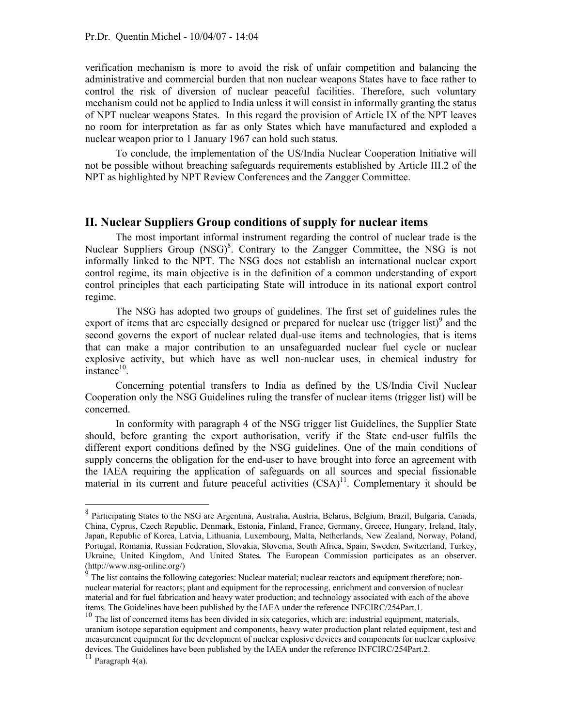verification mechanism is more to avoid the risk of unfair competition and balancing the administrative and commercial burden that non nuclear weapons States have to face rather to control the risk of diversion of nuclear peaceful facilities. Therefore, such voluntary mechanism could not be applied to India unless it will consist in informally granting the status of NPT nuclear weapons States. In this regard the provision of Article IX of the NPT leaves no room for interpretation as far as only States which have manufactured and exploded a nuclear weapon prior to 1 January 1967 can hold such status.

To conclude, the implementation of the US/India Nuclear Cooperation Initiative will not be possible without breaching safeguards requirements established by Article III.2 of the NPT as highlighted by NPT Review Conferences and the Zangger Committee.

## **II. Nuclear Suppliers Group conditions of supply for nuclear items**

The most important informal instrument regarding the control of nuclear trade is the Nuclear Suppliers Group (NSG)<sup>8</sup>. Contrary to the Zangger Committee, the NSG is not informally linked to the NPT. The NSG does not establish an international nuclear export control regime, its main objective is in the definition of a common understanding of export control principles that each participating State will introduce in its national export control regime.

The NSG has adopted two groups of guidelines. The first set of guidelines rules the export of items that are especially designed or prepared for nuclear use  $(\text{trigger list})^9$  and the second governs the export of nuclear related dual-use items and technologies, that is items that can make a major contribution to an unsafeguarded nuclear fuel cycle or nuclear explosive activity, but which have as well non-nuclear uses, in chemical industry for  $instance<sup>10</sup>$ 

Concerning potential transfers to India as defined by the US/India Civil Nuclear Cooperation only the NSG Guidelines ruling the transfer of nuclear items (trigger list) will be concerned.

In conformity with paragraph 4 of the NSG trigger list Guidelines, the Supplier State should, before granting the export authorisation, verify if the State end-user fulfils the different export conditions defined by the NSG guidelines. One of the main conditions of supply concerns the obligation for the end-user to have brought into force an agreement with the IAEA requiring the application of safeguards on all sources and special fissionable material in its current and future peaceful activities  $(CSA)^{11}$ . Complementary it should be

l

<sup>8</sup> Participating States to the NSG are Argentina, Australia, Austria, Belarus, Belgium, Brazil, Bulgaria, Canada, China, Cyprus, Czech Republic, Denmark, Estonia, Finland, France, Germany, Greece, Hungary, Ireland, Italy, Japan, Republic of Korea, Latvia, Lithuania, Luxembourg, Malta, Netherlands, New Zealand, Norway, Poland, Portugal, Romania, Russian Federation, Slovakia, Slovenia, South Africa, Spain, Sweden, Switzerland, Turkey, Ukraine, United Kingdom, And United States*.* The European Commission participates as an observer. (http://www.nsg-online.org/)

 $\frac{9}{9}$  The list contains the following categories: Nuclear material; nuclear reactors and equipment therefore; nonnuclear material for reactors; plant and equipment for the reprocessing, enrichment and conversion of nuclear material and for fuel fabrication and heavy water production; and technology associated with each of the above items. The Guidelines have been published by the IAEA under the reference INFCIRC/254Part.1.

<sup>&</sup>lt;sup>10</sup> The list of concerned items has been divided in six categories, which are: industrial equipment, materials, uranium isotope separation equipment and components, heavy water production plant related equipment, test and measurement equipment for the development of nuclear explosive devices and components for nuclear explosive devices. The Guidelines have been published by the IAEA under the reference INFCIRC/254Part.2.

 $11$  Paragraph 4(a).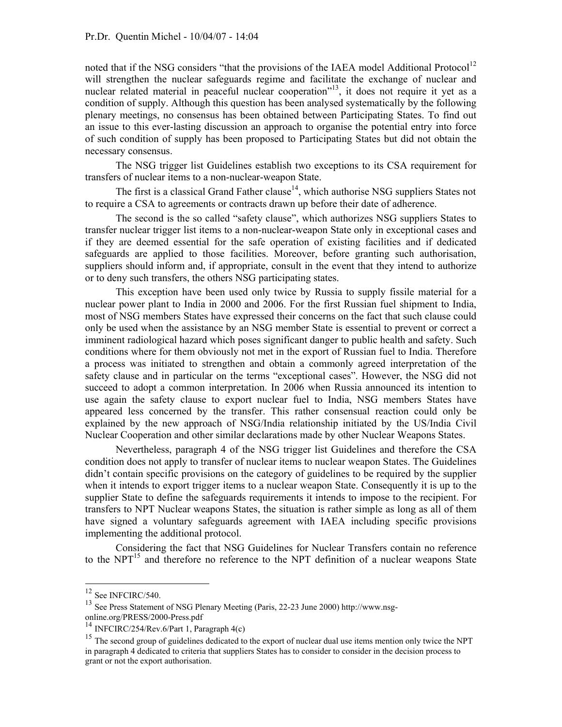noted that if the NSG considers "that the provisions of the IAEA model Additional Protocol<sup>12</sup> will strengthen the nuclear safeguards regime and facilitate the exchange of nuclear and nuclear related material in peaceful nuclear cooperation"<sup>13</sup>, it does not require it yet as a condition of supply. Although this question has been analysed systematically by the following plenary meetings, no consensus has been obtained between Participating States. To find out an issue to this ever-lasting discussion an approach to organise the potential entry into force of such condition of supply has been proposed to Participating States but did not obtain the necessary consensus.

The NSG trigger list Guidelines establish two exceptions to its CSA requirement for transfers of nuclear items to a non-nuclear-weapon State.

The first is a classical Grand Father clause<sup>14</sup>, which authorise NSG suppliers States not to require a CSA to agreements or contracts drawn up before their date of adherence.

The second is the so called "safety clause", which authorizes NSG suppliers States to transfer nuclear trigger list items to a non-nuclear-weapon State only in exceptional cases and if they are deemed essential for the safe operation of existing facilities and if dedicated safeguards are applied to those facilities. Moreover, before granting such authorisation, suppliers should inform and, if appropriate, consult in the event that they intend to authorize or to deny such transfers, the others NSG participating states.

This exception have been used only twice by Russia to supply fissile material for a nuclear power plant to India in 2000 and 2006. For the first Russian fuel shipment to India, most of NSG members States have expressed their concerns on the fact that such clause could only be used when the assistance by an NSG member State is essential to prevent or correct a imminent radiological hazard which poses significant danger to public health and safety. Such conditions where for them obviously not met in the export of Russian fuel to India. Therefore a process was initiated to strengthen and obtain a commonly agreed interpretation of the safety clause and in particular on the terms "exceptional cases". However, the NSG did not succeed to adopt a common interpretation. In 2006 when Russia announced its intention to use again the safety clause to export nuclear fuel to India, NSG members States have appeared less concerned by the transfer. This rather consensual reaction could only be explained by the new approach of NSG/India relationship initiated by the US/India Civil Nuclear Cooperation and other similar declarations made by other Nuclear Weapons States.

Nevertheless, paragraph 4 of the NSG trigger list Guidelines and therefore the CSA condition does not apply to transfer of nuclear items to nuclear weapon States. The Guidelines didn't contain specific provisions on the category of guidelines to be required by the supplier when it intends to export trigger items to a nuclear weapon State. Consequently it is up to the supplier State to define the safeguards requirements it intends to impose to the recipient. For transfers to NPT Nuclear weapons States, the situation is rather simple as long as all of them have signed a voluntary safeguards agreement with IAEA including specific provisions implementing the additional protocol.

Considering the fact that NSG Guidelines for Nuclear Transfers contain no reference to the  $NPT<sup>15</sup>$  and therefore no reference to the NPT definition of a nuclear weapons State

l

 $12$  See INFCIRC/540.

<sup>&</sup>lt;sup>13</sup> See Press Statement of NSG Plenary Meeting (Paris, 22-23 June 2000) http://www.nsg-<br>online.org/PRESS/2000-Press.pdf

<sup>&</sup>lt;sup>14</sup> INFCIRC/254/Rev.6/Part 1, Paragraph 4(c)

<sup>&</sup>lt;sup>15</sup> The second group of guidelines dedicated to the export of nuclear dual use items mention only twice the NPT in paragraph 4 dedicated to criteria that suppliers States has to consider to consider in the decision process to grant or not the export authorisation.